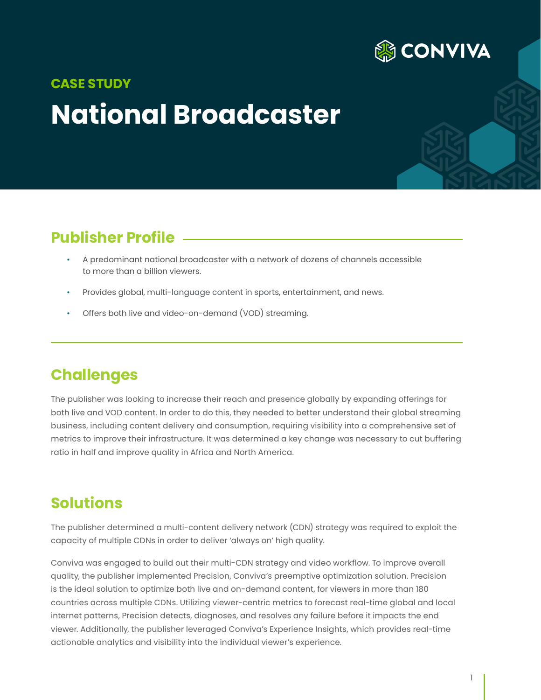

# **National Broadcaster CASE STUDY**

## **Publisher Profile**

- A predominant national broadcaster with a network of dozens of channels accessible to more than a billion viewers.
- Provides global, multi-language content in sports, entertainment, and news.
- Offers both live and video-on-demand (VOD) streaming.

#### **Challenges**

The publisher was looking to increase their reach and presence globally by expanding offerings for both live and VOD content. In order to do this, they needed to better understand their global streaming business, including content delivery and consumption, requiring visibility into a comprehensive set of metrics to improve their infrastructure. It was determined a key change was necessary to cut buffering ratio in half and improve quality in Africa and North America.

#### **Solutions**

The publisher determined a multi-content delivery network (CDN) strategy was required to exploit the capacity of multiple CDNs in order to deliver 'always on' high quality.

Conviva was engaged to build out their multi-CDN strategy and video workflow. To improve overall quality, the publisher implemented Precision, Conviva's preemptive optimization solution. Precision is the ideal solution to optimize both live and on-demand content, for viewers in more than 180 countries across multiple CDNs. Utilizing viewer-centric metrics to forecast real-time global and local internet patterns, Precision detects, diagnoses, and resolves any failure before it impacts the end viewer. Additionally, the publisher leveraged Conviva's Experience Insights, which provides real-time actionable analytics and visibility into the individual viewer's experience.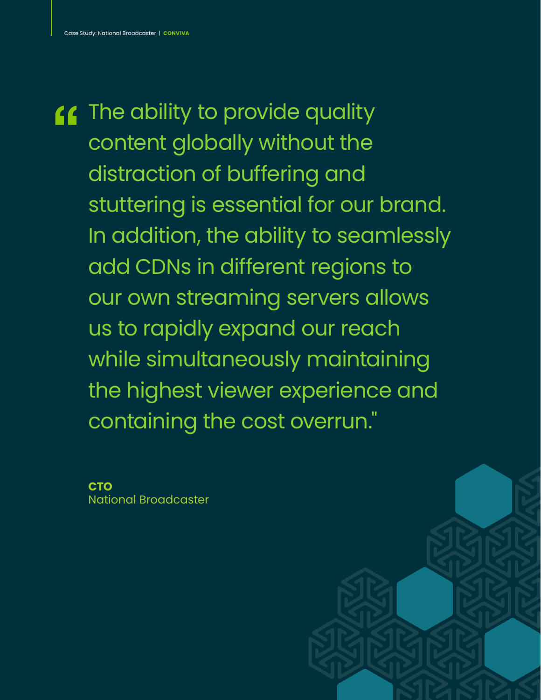**11** The ability to provide quality content globally without the distraction of buffering and stuttering is essential for our brand. In addition, the ability to seamlessly add CDNs in different regions to our own streaming servers allows us to rapidly expand our reach while simultaneously maintaining the highest viewer experience and containing the cost overrun."

**CTO**  National Broadcaster